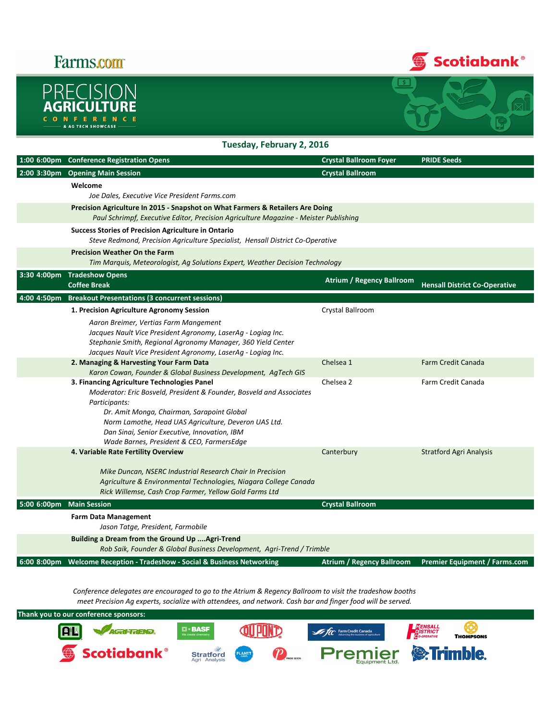## **Farms.com**





## Tuesday, February 2, 2016

|             | 1:00 6:00pm Conference Registration Opens                                                                                                                                                                                                                                                                                               | <b>Crystal Ballroom Foyer</b>    | <b>PRIDE Seeds</b>                   |  |  |
|-------------|-----------------------------------------------------------------------------------------------------------------------------------------------------------------------------------------------------------------------------------------------------------------------------------------------------------------------------------------|----------------------------------|--------------------------------------|--|--|
| 2:00 3:30pm | <b>Opening Main Session</b>                                                                                                                                                                                                                                                                                                             | <b>Crystal Ballroom</b>          |                                      |  |  |
|             | Welcome                                                                                                                                                                                                                                                                                                                                 |                                  |                                      |  |  |
|             | Joe Dales, Executive Vice President Farms.com                                                                                                                                                                                                                                                                                           |                                  |                                      |  |  |
|             | Precision Agriculture In 2015 - Snapshot on What Farmers & Retailers Are Doing<br>Paul Schrimpf, Executive Editor, Precision Agriculture Magazine - Meister Publishing                                                                                                                                                                  |                                  |                                      |  |  |
|             | <b>Success Stories of Precision Agriculture in Ontario</b><br>Steve Redmond, Precision Agriculture Specialist, Hensall District Co-Operative                                                                                                                                                                                            |                                  |                                      |  |  |
|             | <b>Precision Weather On the Farm</b><br>Tim Marquis, Meteorologist, Ag Solutions Expert, Weather Decision Technology                                                                                                                                                                                                                    |                                  |                                      |  |  |
| 3:30 4:00pm | <b>Tradeshow Opens</b><br><b>Coffee Break</b>                                                                                                                                                                                                                                                                                           | <b>Atrium / Regency Ballroom</b> | <b>Hensall District Co-Operative</b> |  |  |
| 4:00 4:50pm | <b>Breakout Presentations (3 concurrent sessions)</b>                                                                                                                                                                                                                                                                                   |                                  |                                      |  |  |
|             | 1. Precision Agriculture Agronomy Session                                                                                                                                                                                                                                                                                               | Crystal Ballroom                 |                                      |  |  |
|             | Aaron Breimer, Vertias Farm Mangement<br>Jacques Nault Vice President Agronomy, LaserAg - Logiag Inc.<br>Stephanie Smith, Regional Agronomy Manager, 360 Yield Center<br>Jacques Nault Vice President Agronomy, LaserAg - Logiag Inc.                                                                                                   |                                  |                                      |  |  |
|             | 2. Managing & Harvesting Your Farm Data<br>Karon Cowan, Founder & Global Business Development, AgTech GIS                                                                                                                                                                                                                               | Chelsea 1                        | <b>Farm Credit Canada</b>            |  |  |
|             | 3. Financing Agriculture Technologies Panel<br>Moderator: Eric Bosveld, President & Founder, Bosveld and Associates<br>Participants:<br>Dr. Amit Monga, Chairman, Sarapoint Global<br>Norm Lamothe, Head UAS Agriculture, Deveron UAS Ltd.<br>Dan Sinai, Senior Executive, Innovation, IBM<br>Wade Barnes, President & CEO, FarmersEdge | Chelsea 2                        | Farm Credit Canada                   |  |  |
|             | 4. Variable Rate Fertility Overview                                                                                                                                                                                                                                                                                                     | Canterbury                       | <b>Stratford Agri Analysis</b>       |  |  |
|             | Mike Duncan, NSERC Industrial Research Chair In Precision<br>Agriculture & Environmental Technologies, Niagara College Canada<br>Rick Willemse, Cash Crop Farmer, Yellow Gold Farms Ltd                                                                                                                                                 |                                  |                                      |  |  |
| 5:00 6:00pm | <b>Main Session</b>                                                                                                                                                                                                                                                                                                                     | <b>Crystal Ballroom</b>          |                                      |  |  |
|             | <b>Farm Data Management</b><br>Jason Tatge, President, Farmobile                                                                                                                                                                                                                                                                        |                                  |                                      |  |  |
|             | Building a Dream from the Ground Up Agri-Trend<br>Rob Saik, Founder & Global Business Development, Agri-Trend / Trimble                                                                                                                                                                                                                 |                                  |                                      |  |  |
| 6:00 8:00pm | Welcome Reception - Tradeshow - Social & Business Networking                                                                                                                                                                                                                                                                            | <b>Atrium / Regency Ballroom</b> | <b>Premier Equipment / Farms.com</b> |  |  |

Conference delegates are encouraged to go to the Atrium & Regency Ballroom to visit the tradeshow booths meet Precision Ag experts, socialize with attendees, and network. Cash bar and finger food will be served.

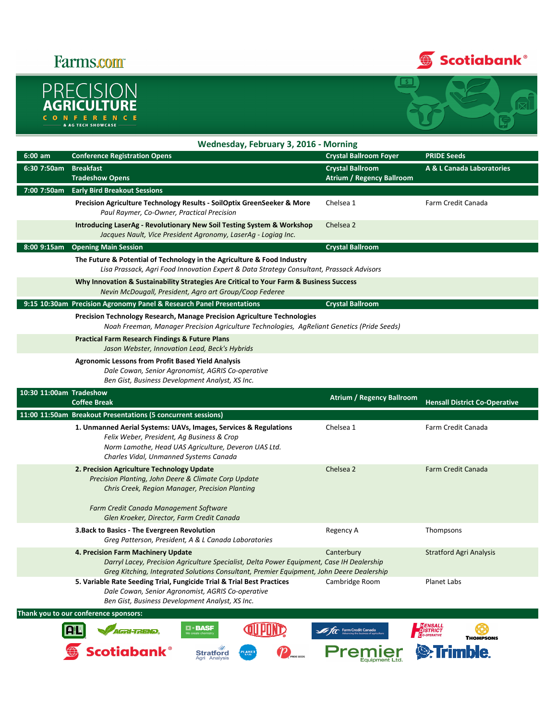## **Farms.com**<sup>®</sup>







|                         | Wednesday, February 3, 2016 - Morning                                                                                                                                                                                       |                                                             |                                                |  |  |  |  |
|-------------------------|-----------------------------------------------------------------------------------------------------------------------------------------------------------------------------------------------------------------------------|-------------------------------------------------------------|------------------------------------------------|--|--|--|--|
| $6:00$ am               | <b>Conference Registration Opens</b>                                                                                                                                                                                        | <b>Crystal Ballroom Foyer</b>                               | <b>PRIDE Seeds</b>                             |  |  |  |  |
| 6:30 7:50am             | <b>Breakfast</b><br><b>Tradeshow Opens</b>                                                                                                                                                                                  | <b>Crystal Ballroom</b><br><b>Atrium / Regency Ballroom</b> | <b>A &amp; L Canada Laboratories</b>           |  |  |  |  |
| 7:00 7:50am             | <b>Early Bird Breakout Sessions</b>                                                                                                                                                                                         |                                                             |                                                |  |  |  |  |
|                         | Precision Agriculture Technology Results - SoilOptix GreenSeeker & More<br>Paul Raymer, Co-Owner, Practical Precision                                                                                                       | Chelsea 1                                                   | Farm Credit Canada                             |  |  |  |  |
|                         | Introducing LaserAg - Revolutionary New Soil Testing System & Workshop<br>Jacques Nault, Vice President Agronomy, LaserAg - Logiag Inc.                                                                                     | Chelsea 2                                                   |                                                |  |  |  |  |
| 8:00 9:15am             | <b>Opening Main Session</b>                                                                                                                                                                                                 | <b>Crystal Ballroom</b>                                     |                                                |  |  |  |  |
|                         | The Future & Potential of Technology in the Agriculture & Food Industry<br>Lisa Prassack, Agri Food Innovation Expert & Data Strategy Consultant, Prassack Advisors                                                         |                                                             |                                                |  |  |  |  |
|                         | Why Innovation & Sustainability Strategies Are Critical to Your Farm & Business Success<br>Nevin McDougall, President, Agro art Group/Coop Federee                                                                          |                                                             |                                                |  |  |  |  |
|                         | 9:15 10:30am Precision Agronomy Panel & Research Panel Presentations                                                                                                                                                        | <b>Crystal Ballroom</b>                                     |                                                |  |  |  |  |
|                         | Precision Technology Research, Manage Precision Agriculture Technologies<br>Noah Freeman, Manager Precision Agriculture Technologies, AgReliant Genetics (Pride Seeds)                                                      |                                                             |                                                |  |  |  |  |
|                         | <b>Practical Farm Research Findings &amp; Future Plans</b><br>Jason Webster, Innovation Lead, Beck's Hybrids                                                                                                                |                                                             |                                                |  |  |  |  |
|                         | <b>Agronomic Lessons from Profit Based Yield Analysis</b><br>Dale Cowan, Senior Agronomist, AGRIS Co-operative<br>Ben Gist, Business Development Analyst, XS Inc.                                                           |                                                             |                                                |  |  |  |  |
| 10:30 11:00am Tradeshow | <b>Coffee Break</b>                                                                                                                                                                                                         | <b>Atrium / Regency Ballroom</b>                            | <b>Hensall District Co-Operative</b>           |  |  |  |  |
|                         | 11:00 11:50am Breakout Presentations (5 concurrent sessions)                                                                                                                                                                |                                                             |                                                |  |  |  |  |
|                         | 1. Unmanned Aerial Systems: UAVs, Images, Services & Regulations<br>Felix Weber, President, Ag Business & Crop<br>Norm Lamothe, Head UAS Agriculture, Deveron UAS Ltd.<br>Charles Vidal, Unmanned Systems Canada            | Chelsea 1                                                   | Farm Credit Canada                             |  |  |  |  |
|                         | 2. Precision Agriculture Technology Update<br>Precision Planting, John Deere & Climate Corp Update<br>Chris Creek, Region Manager, Precision Planting<br>Farm Credit Canada Management Software                             | Chelsea 2                                                   | <b>Farm Credit Canada</b>                      |  |  |  |  |
|                         | Glen Kroeker, Director, Farm Credit Canada                                                                                                                                                                                  |                                                             |                                                |  |  |  |  |
|                         | 3. Back to Basics - The Evergreen Revolution<br>Greg Patterson, President, A & L Canada Laboratories                                                                                                                        | Regency A                                                   | Thompsons                                      |  |  |  |  |
|                         | 4. Precision Farm Machinery Update<br>Darryl Lacey, Precision Agriculture Specialist, Delta Power Equipment, Case IH Dealership<br>Greg Kitching, Integrated Solutions Consultant, Premier Equipment, John Deere Dealership | Canterbury                                                  | Stratford Agri Analysis                        |  |  |  |  |
|                         | 5. Variable Rate Seeding Trial, Fungicide Trial & Trial Best Practices<br>Dale Cowan, Senior Agronomist, AGRIS Co-operative<br>Ben Gist, Business Development Analyst, XS Inc.                                              | Cambridge Room                                              | Planet Labs                                    |  |  |  |  |
|                         | Thank you to our conference sponsors:                                                                                                                                                                                       |                                                             |                                                |  |  |  |  |
|                         | $\blacksquare$ = $\mathbf{B}\mathbf{A}\mathbf{S}\mathbf{F}$<br>We create chemistry<br><b>AGRI-TREND.</b>                                                                                                                    | <b>In Fact Farm Credit Canada</b>                           | <b>FENSALL</b><br>DISTRICT<br><b>THOMPSONS</b> |  |  |  |  |
|                         | <b>Scotiabank®</b><br><b>Stratford</b><br>Agri Analysis                                                                                                                                                                     | mıer                                                        | <b>S</b> : Trimble.                            |  |  |  |  |